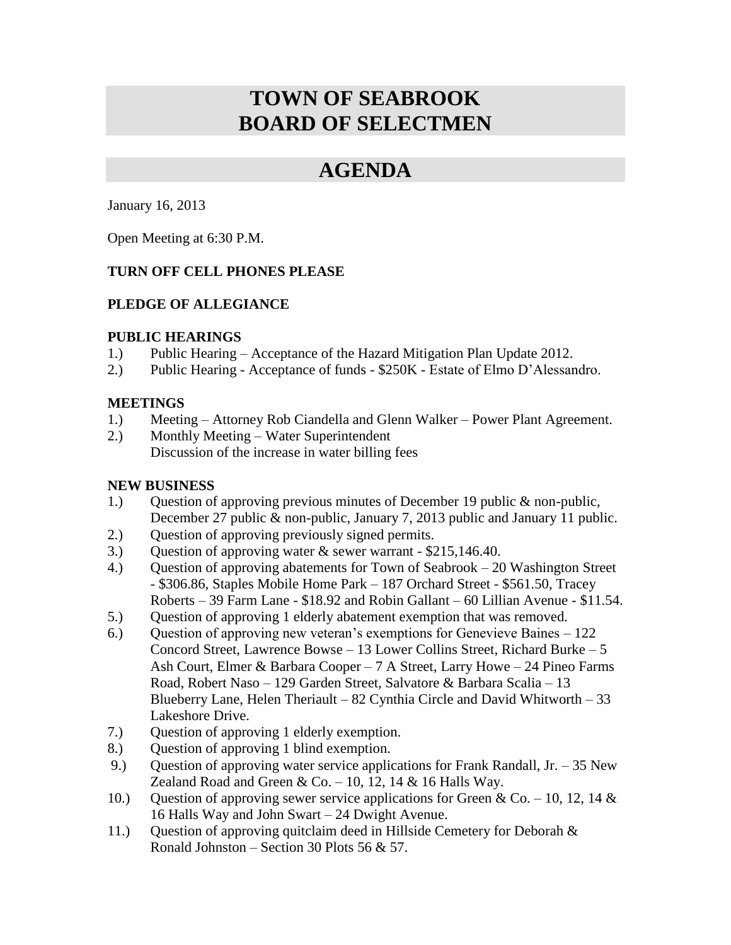# **TOWN OF SEABROOK BOARD OF SELECTMEN**

## **AGENDA**

January 16, 2013

Open Meeting at 6:30 P.M.

### **TURN OFF CELL PHONES PLEASE**

### **PLEDGE OF ALLEGIANCE**

#### **PUBLIC HEARINGS**

- 1.) Public Hearing Acceptance of the Hazard Mitigation Plan Update 2012.
- 2.) Public Hearing Acceptance of funds \$250K Estate of Elmo D'Alessandro.

### **MEETINGS**

- 1.) Meeting Attorney Rob Ciandella and Glenn Walker Power Plant Agreement.
- 2.) Monthly Meeting Water Superintendent Discussion of the increase in water billing fees

### **NEW BUSINESS**

- 1.) Question of approving previous minutes of December 19 public & non-public, December 27 public & non-public, January 7, 2013 public and January 11 public.
- 2.) Question of approving previously signed permits.
- 3.) Question of approving water & sewer warrant \$215,146.40.
- 4.) Question of approving abatements for Town of Seabrook 20 Washington Street - \$306.86, Staples Mobile Home Park – 187 Orchard Street - \$561.50, Tracey Roberts – 39 Farm Lane - \$18.92 and Robin Gallant – 60 Lillian Avenue - \$11.54.
- 5.) Question of approving 1 elderly abatement exemption that was removed.
- 6.) Question of approving new veteran's exemptions for Genevieve Baines 122 Concord Street, Lawrence Bowse – 13 Lower Collins Street, Richard Burke – 5 Ash Court, Elmer & Barbara Cooper – 7 A Street, Larry Howe – 24 Pineo Farms Road, Robert Naso – 129 Garden Street, Salvatore & Barbara Scalia – 13 Blueberry Lane, Helen Theriault – 82 Cynthia Circle and David Whitworth – 33 Lakeshore Drive.
- 7.) Question of approving 1 elderly exemption.
- 8.) Question of approving 1 blind exemption.
- 9.) Question of approving water service applications for Frank Randall, Jr. 35 New Zealand Road and Green & Co.  $-10$ , 12, 14 & 16 Halls Way.
- 10.) Question of approving sewer service applications for Green & Co. 10, 12, 14 & 16 Halls Way and John Swart – 24 Dwight Avenue.
- 11.) Question of approving quitclaim deed in Hillside Cemetery for Deborah & Ronald Johnston – Section 30 Plots 56  $& 57.$